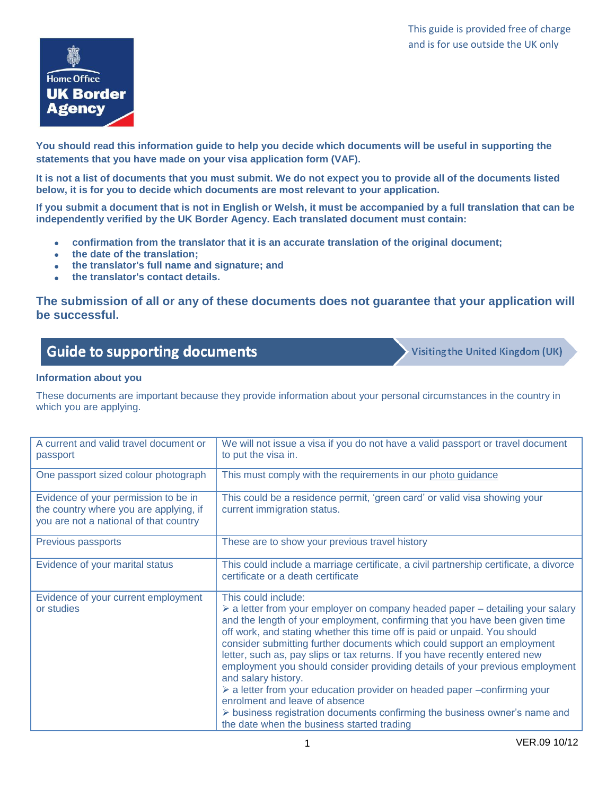

**You should read this information guide to help you decide which documents will be useful in supporting the statements that you have made on your visa application form (VAF).**

**It is not a list of documents that you must submit. We do not expect you to provide all of the documents listed below, it is for you to decide which documents are most relevant to your application.** 

**If you submit a document that is not in English or Welsh, it must be accompanied by a full translation that can be independently verified by the UK Border Agency. Each translated document must contain:**

- **confirmation from the translator that it is an accurate translation of the original document;**
- **the date of the translation;**
- **the translator's full name and signature; and**
- **the translator's contact details.**

**The submission of all or any of these documents does not guarantee that your application will be successful.**

# **Guide to supporting documents**

Visiting the United Kingdom (UK)

### **Information about you**

These documents are important because they provide information about your personal circumstances in the country in which you are applying.

| A current and valid travel document or<br>passport                                                                       | We will not issue a visa if you do not have a valid passport or travel document<br>to put the visa in.                                                                                                                                                                                                                                                                                                                                                                                                                                                                                                                                                                                                                                                                                                                   |
|--------------------------------------------------------------------------------------------------------------------------|--------------------------------------------------------------------------------------------------------------------------------------------------------------------------------------------------------------------------------------------------------------------------------------------------------------------------------------------------------------------------------------------------------------------------------------------------------------------------------------------------------------------------------------------------------------------------------------------------------------------------------------------------------------------------------------------------------------------------------------------------------------------------------------------------------------------------|
| One passport sized colour photograph                                                                                     | This must comply with the requirements in our photo guidance                                                                                                                                                                                                                                                                                                                                                                                                                                                                                                                                                                                                                                                                                                                                                             |
| Evidence of your permission to be in<br>the country where you are applying, if<br>you are not a national of that country | This could be a residence permit, 'green card' or valid visa showing your<br>current immigration status.                                                                                                                                                                                                                                                                                                                                                                                                                                                                                                                                                                                                                                                                                                                 |
| Previous passports                                                                                                       | These are to show your previous travel history                                                                                                                                                                                                                                                                                                                                                                                                                                                                                                                                                                                                                                                                                                                                                                           |
| Evidence of your marital status                                                                                          | This could include a marriage certificate, a civil partnership certificate, a divorce<br>certificate or a death certificate                                                                                                                                                                                                                                                                                                                                                                                                                                                                                                                                                                                                                                                                                              |
| Evidence of your current employment<br>or studies                                                                        | This could include:<br>$\triangleright$ a letter from your employer on company headed paper – detailing your salary<br>and the length of your employment, confirming that you have been given time<br>off work, and stating whether this time off is paid or unpaid. You should<br>consider submitting further documents which could support an employment<br>letter, such as, pay slips or tax returns. If you have recently entered new<br>employment you should consider providing details of your previous employment<br>and salary history.<br>$\triangleright$ a letter from your education provider on headed paper -confirming your<br>enrolment and leave of absence<br>$\triangleright$ business registration documents confirming the business owner's name and<br>the date when the business started trading |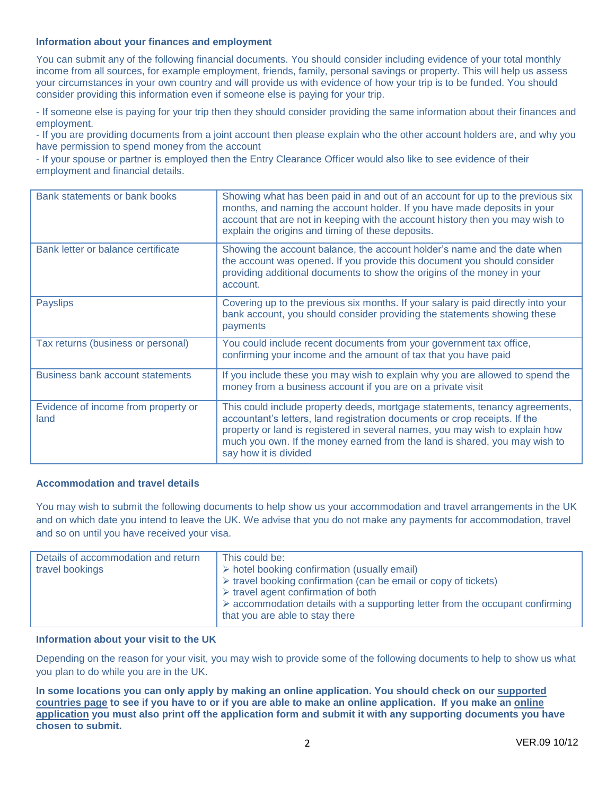#### **Information about your finances and employment**

You can submit any of the following financial documents. You should consider including evidence of your total monthly income from all sources, for example employment, friends, family, personal savings or property. This will help us assess your circumstances in your own country and will provide us with evidence of how your trip is to be funded. You should consider providing this information even if someone else is paying for your trip.

- If someone else is paying for your trip then they should consider providing the same information about their finances and employment.

- If you are providing documents from a joint account then please explain who the other account holders are, and why you have permission to spend money from the account

- If your spouse or partner is employed then the Entry Clearance Officer would also like to see evidence of their employment and financial details.

| Bank statements or bank books               | Showing what has been paid in and out of an account for up to the previous six<br>months, and naming the account holder. If you have made deposits in your<br>account that are not in keeping with the account history then you may wish to<br>explain the origins and timing of these deposits.                                                 |
|---------------------------------------------|--------------------------------------------------------------------------------------------------------------------------------------------------------------------------------------------------------------------------------------------------------------------------------------------------------------------------------------------------|
| Bank letter or balance certificate          | Showing the account balance, the account holder's name and the date when<br>the account was opened. If you provide this document you should consider<br>providing additional documents to show the origins of the money in your<br>account.                                                                                                      |
| <b>Payslips</b>                             | Covering up to the previous six months. If your salary is paid directly into your<br>bank account, you should consider providing the statements showing these<br>payments                                                                                                                                                                        |
| Tax returns (business or personal)          | You could include recent documents from your government tax office,<br>confirming your income and the amount of tax that you have paid                                                                                                                                                                                                           |
| <b>Business bank account statements</b>     | If you include these you may wish to explain why you are allowed to spend the<br>money from a business account if you are on a private visit                                                                                                                                                                                                     |
| Evidence of income from property or<br>land | This could include property deeds, mortgage statements, tenancy agreements,<br>accountant's letters, land registration documents or crop receipts. If the<br>property or land is registered in several names, you may wish to explain how<br>much you own. If the money earned from the land is shared, you may wish to<br>say how it is divided |

#### **Accommodation and travel details**

You may wish to submit the following documents to help show us your accommodation and travel arrangements in the UK and on which date you intend to leave the UK. We advise that you do not make any payments for accommodation, travel and so on until you have received your visa.

| Details of accommodation and return<br>travel bookings | This could be:<br>> hotel booking confirmation (usually email)<br>$\triangleright$ travel booking confirmation (can be email or copy of tickets)<br>$\triangleright$ travel agent confirmation of both<br>$\triangleright$ accommodation details with a supporting letter from the occupant confirming<br>that you are able to stay there |
|--------------------------------------------------------|-------------------------------------------------------------------------------------------------------------------------------------------------------------------------------------------------------------------------------------------------------------------------------------------------------------------------------------------|
|--------------------------------------------------------|-------------------------------------------------------------------------------------------------------------------------------------------------------------------------------------------------------------------------------------------------------------------------------------------------------------------------------------------|

#### **Information about your visit to the UK**

Depending on the reason for your visit, you may wish to provide some of the following documents to help to show us what you plan to do while you are in the UK.

**In some locations you can only apply by making an online application. You should check on our [supported](http://www.ukba.homeoffice.gov.uk/countries/)  [countries page](http://www.ukba.homeoffice.gov.uk/countries/) to see if you have to or if you are able to make an online application. If you make an [online](http://www.visa4uk.fco.gov.uk/ApplyNow.aspx)  [application](http://www.visa4uk.fco.gov.uk/ApplyNow.aspx) you must also print off the application form and submit it with any supporting documents you have chosen to submit.**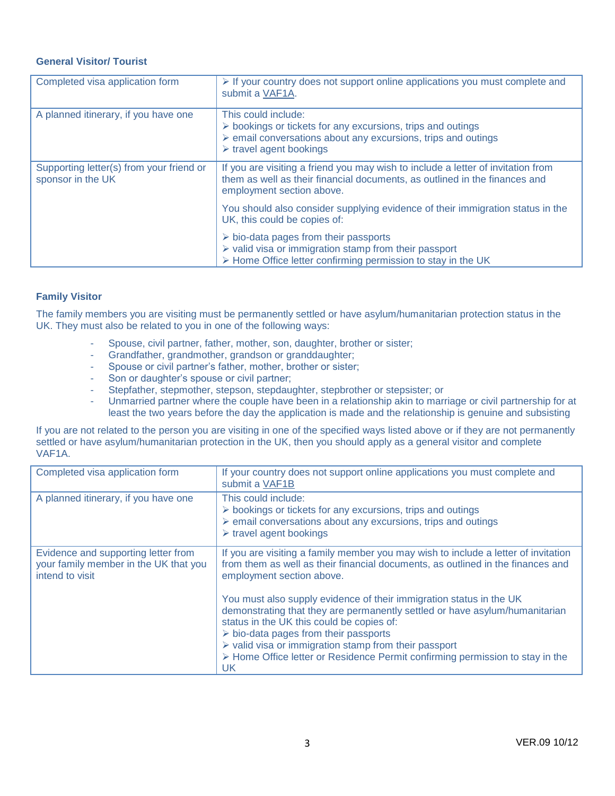## **General Visitor/ Tourist**

| Completed visa application form                               | $\triangleright$ If your country does not support online applications you must complete and<br>submit a VAF1A.                                                                                                              |
|---------------------------------------------------------------|-----------------------------------------------------------------------------------------------------------------------------------------------------------------------------------------------------------------------------|
| A planned itinerary, if you have one                          | This could include:<br>$\triangleright$ bookings or tickets for any excursions, trips and outings<br>$\triangleright$ email conversations about any excursions, trips and outings<br>$\triangleright$ travel agent bookings |
| Supporting letter(s) from your friend or<br>sponsor in the UK | If you are visiting a friend you may wish to include a letter of invitation from<br>them as well as their financial documents, as outlined in the finances and<br>employment section above.                                 |
|                                                               | You should also consider supplying evidence of their immigration status in the<br>UK, this could be copies of:                                                                                                              |
|                                                               | $\triangleright$ bio-data pages from their passports<br>$\triangleright$ valid visa or immigration stamp from their passport<br>> Home Office letter confirming permission to stay in the UK                                |

### **Family Visitor**

The family members you are visiting must be permanently settled or have asylum/humanitarian protection status in the UK. They must also be related to you in one of the following ways:

- Spouse, civil partner, father, mother, son, daughter, brother or sister;
- Grandfather, grandmother, grandson or granddaughter;
- Spouse or civil partner's father, mother, brother or sister;
- Son or daughter's spouse or civil partner;
- Stepfather, stepmother, stepson, stepdaughter, stepbrother or stepsister; or
- Unmarried partner where the couple have been in a relationship akin to marriage or civil partnership for at least the two years before the day the application is made and the relationship is genuine and subsisting

If you are not related to the person you are visiting in one of the specified ways listed above or if they are not permanently settled or have asylum/humanitarian protection in the UK, then you should apply as a general visitor and complete VAF1A.

| Completed visa application form                                                                 | If your country does not support online applications you must complete and<br>submit a VAF1B                                                                                                                                                                                                                                                                                                                                                                                                                                          |
|-------------------------------------------------------------------------------------------------|---------------------------------------------------------------------------------------------------------------------------------------------------------------------------------------------------------------------------------------------------------------------------------------------------------------------------------------------------------------------------------------------------------------------------------------------------------------------------------------------------------------------------------------|
| A planned itinerary, if you have one                                                            | This could include:<br>$\triangleright$ bookings or tickets for any excursions, trips and outings<br>$\triangleright$ email conversations about any excursions, trips and outings<br>$\triangleright$ travel agent bookings                                                                                                                                                                                                                                                                                                           |
| Evidence and supporting letter from<br>your family member in the UK that you<br>intend to visit | If you are visiting a family member you may wish to include a letter of invitation<br>from them as well as their financial documents, as outlined in the finances and<br>employment section above.<br>You must also supply evidence of their immigration status in the UK<br>demonstrating that they are permanently settled or have asylum/humanitarian<br>status in the UK this could be copies of:<br>$\triangleright$ bio-data pages from their passports<br>$\triangleright$ valid visa or immigration stamp from their passport |
|                                                                                                 | > Home Office letter or Residence Permit confirming permission to stay in the<br>UK                                                                                                                                                                                                                                                                                                                                                                                                                                                   |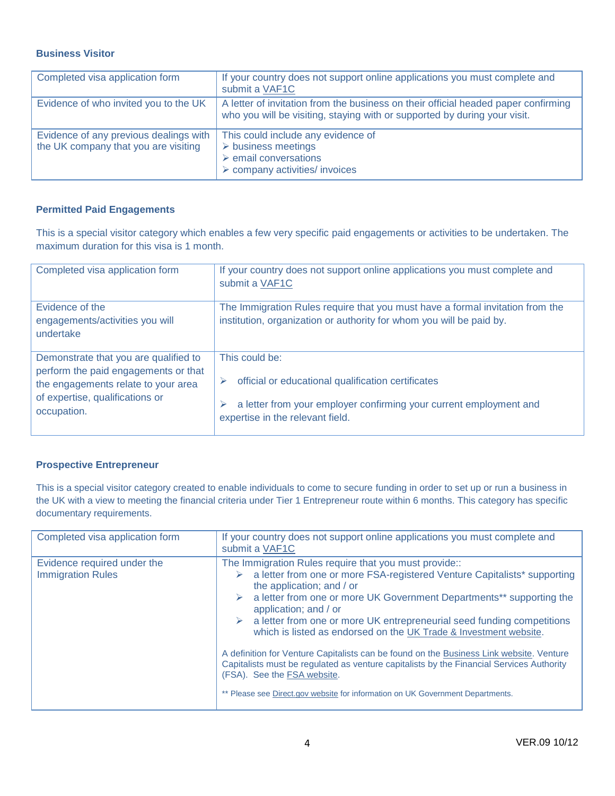## **Business Visitor**

| Completed visa application form                                                | If your country does not support online applications you must complete and<br>submit a VAF1C                                                                      |
|--------------------------------------------------------------------------------|-------------------------------------------------------------------------------------------------------------------------------------------------------------------|
| Evidence of who invited you to the UK                                          | A letter of invitation from the business on their official headed paper confirming<br>who you will be visiting, staying with or supported by during your visit.   |
| Evidence of any previous dealings with<br>the UK company that you are visiting | This could include any evidence of<br>$\triangleright$ business meetings<br>$\triangleright$ email conversations<br>$\triangleright$ company activities/ invoices |

## **Permitted Paid Engagements**

This is a special visitor category which enables a few very specific paid engagements or activities to be undertaken. The maximum duration for this visa is 1 month.

| Completed visa application form                                                                                                                                        | If your country does not support online applications you must complete and<br>submit a VAF1C                                                                                   |
|------------------------------------------------------------------------------------------------------------------------------------------------------------------------|--------------------------------------------------------------------------------------------------------------------------------------------------------------------------------|
| Evidence of the<br>engagements/activities you will<br>undertake                                                                                                        | The Immigration Rules require that you must have a formal invitation from the<br>institution, organization or authority for whom you will be paid by.                          |
| Demonstrate that you are qualified to<br>perform the paid engagements or that<br>the engagements relate to your area<br>of expertise, qualifications or<br>occupation. | This could be:<br>official or educational qualification certificates<br>a letter from your employer confirming your current employment and<br>expertise in the relevant field. |

## **Prospective Entrepreneur**

This is a special visitor category created to enable individuals to come to secure funding in order to set up or run a business in the UK with a view to meeting the financial criteria under Tier 1 Entrepreneur route within 6 months. This category has specific documentary requirements.

| Completed visa application form                         | If your country does not support online applications you must complete and<br>submit a VAF1C                                                                                                                                                                                                                                                                                                                                                                                                                                                                                                                                                                                                                                |
|---------------------------------------------------------|-----------------------------------------------------------------------------------------------------------------------------------------------------------------------------------------------------------------------------------------------------------------------------------------------------------------------------------------------------------------------------------------------------------------------------------------------------------------------------------------------------------------------------------------------------------------------------------------------------------------------------------------------------------------------------------------------------------------------------|
| Evidence required under the<br><b>Immigration Rules</b> | The Immigration Rules require that you must provide::<br>a letter from one or more FSA-registered Venture Capitalists* supporting<br>➤<br>the application; and / or<br>a letter from one or more UK Government Departments** supporting the<br>application; and / or<br>a letter from one or more UK entrepreneurial seed funding competitions<br>which is listed as endorsed on the UK Trade & Investment website.<br>A definition for Venture Capitalists can be found on the Business Link website. Venture<br>Capitalists must be regulated as venture capitalists by the Financial Services Authority<br>(FSA). See the FSA website.<br>** Please see Direct.gov website for information on UK Government Departments. |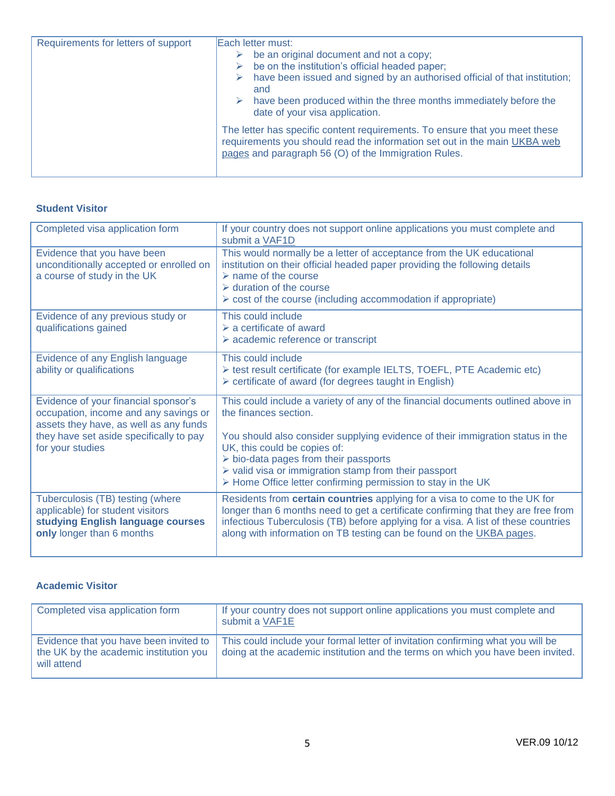| Requirements for letters of support | Each letter must:                                                                                                                                                                                                |
|-------------------------------------|------------------------------------------------------------------------------------------------------------------------------------------------------------------------------------------------------------------|
|                                     | be an original document and not a copy;<br>⋗                                                                                                                                                                     |
|                                     | be on the institution's official headed paper;<br>⋗                                                                                                                                                              |
|                                     | have been issued and signed by an authorised official of that institution;<br>⋗<br>and                                                                                                                           |
|                                     | have been produced within the three months immediately before the<br>⋗<br>date of your visa application.                                                                                                         |
|                                     | The letter has specific content requirements. To ensure that you meet these<br>requirements you should read the information set out in the main UKBA web<br>pages and paragraph 56 (O) of the Immigration Rules. |

## **Student Visitor**

| Completed visa application form                                                                                                                                                        | If your country does not support online applications you must complete and<br>submit a VAF1D                                                                                                                                                                                                                                                                                                                                |
|----------------------------------------------------------------------------------------------------------------------------------------------------------------------------------------|-----------------------------------------------------------------------------------------------------------------------------------------------------------------------------------------------------------------------------------------------------------------------------------------------------------------------------------------------------------------------------------------------------------------------------|
| Evidence that you have been<br>unconditionally accepted or enrolled on<br>a course of study in the UK                                                                                  | This would normally be a letter of acceptance from the UK educational<br>institution on their official headed paper providing the following details<br>$\triangleright$ name of the course<br>$\triangleright$ duration of the course<br>$\triangleright$ cost of the course (including accommodation if appropriate)                                                                                                       |
| Evidence of any previous study or<br>qualifications gained                                                                                                                             | This could include<br>$\triangleright$ a certificate of award<br>$\triangleright$ academic reference or transcript                                                                                                                                                                                                                                                                                                          |
| Evidence of any English language<br>ability or qualifications                                                                                                                          | This could include<br>> test result certificate (for example IELTS, TOEFL, PTE Academic etc)<br>$\triangleright$ certificate of award (for degrees taught in English)                                                                                                                                                                                                                                                       |
| Evidence of your financial sponsor's<br>occupation, income and any savings or<br>assets they have, as well as any funds<br>they have set aside specifically to pay<br>for your studies | This could include a variety of any of the financial documents outlined above in<br>the finances section.<br>You should also consider supplying evidence of their immigration status in the<br>UK, this could be copies of:<br>$\triangleright$ bio-data pages from their passports<br>$\triangleright$ valid visa or immigration stamp from their passport<br>> Home Office letter confirming permission to stay in the UK |
| Tuberculosis (TB) testing (where<br>applicable) for student visitors<br>studying English language courses<br>only longer than 6 months                                                 | Residents from certain countries applying for a visa to come to the UK for<br>longer than 6 months need to get a certificate confirming that they are free from<br>infectious Tuberculosis (TB) before applying for a visa. A list of these countries<br>along with information on TB testing can be found on the UKBA pages.                                                                                               |

## **Academic Visitor**

| Completed visa application form                                                                 | If your country does not support online applications you must complete and<br>submit a VAF1E                                                                       |
|-------------------------------------------------------------------------------------------------|--------------------------------------------------------------------------------------------------------------------------------------------------------------------|
| Evidence that you have been invited to<br>the UK by the academic institution you<br>will attend | This could include your formal letter of invitation confirming what you will be<br>doing at the academic institution and the terms on which you have been invited. |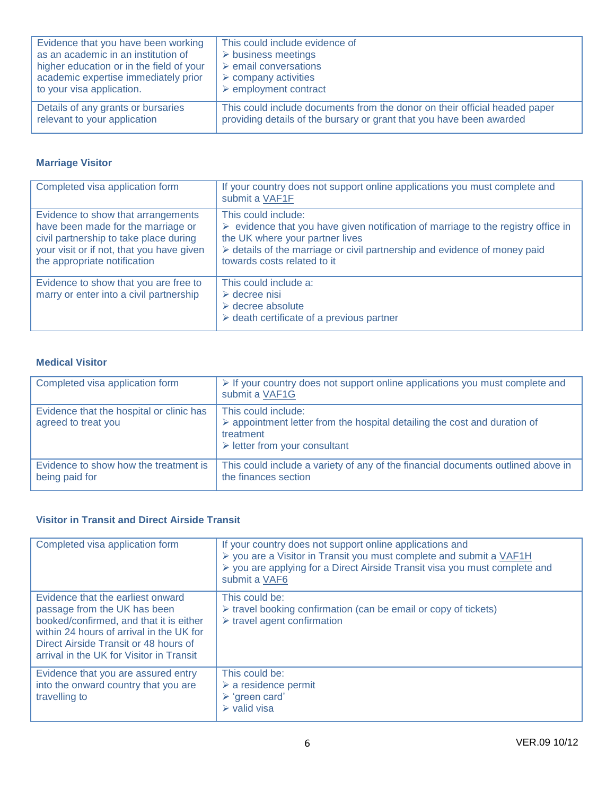| Evidence that you have been working      | This could include evidence of                                             |
|------------------------------------------|----------------------------------------------------------------------------|
| as an academic in an institution of      | $\triangleright$ business meetings                                         |
| higher education or in the field of your | $\triangleright$ email conversations                                       |
| academic expertise immediately prior     | $\triangleright$ company activities                                        |
| to your visa application.                | $\triangleright$ employment contract                                       |
| Details of any grants or bursaries       | This could include documents from the donor on their official headed paper |
| relevant to your application             | providing details of the bursary or grant that you have been awarded       |

## **Marriage Visitor**

| Completed visa application form                                                                                                                                                                 | If your country does not support online applications you must complete and<br>submit a VAF1F                                                                                                                                                               |
|-------------------------------------------------------------------------------------------------------------------------------------------------------------------------------------------------|------------------------------------------------------------------------------------------------------------------------------------------------------------------------------------------------------------------------------------------------------------|
| Evidence to show that arrangements<br>have been made for the marriage or<br>civil partnership to take place during<br>your visit or if not, that you have given<br>the appropriate notification | This could include:<br>evidence that you have given notification of marriage to the registry office in<br>➤<br>the UK where your partner lives<br>> details of the marriage or civil partnership and evidence of money paid<br>towards costs related to it |
| Evidence to show that you are free to<br>marry or enter into a civil partnership                                                                                                                | This could include a:<br>$\triangleright$ decree nisi<br>$\triangleright$ decree absolute<br>$\triangleright$ death certificate of a previous partner                                                                                                      |

## **Medical Visitor**

| Completed visa application form                                 | $\triangleright$ If your country does not support online applications you must complete and<br>submit a VAF1G                                                                |
|-----------------------------------------------------------------|------------------------------------------------------------------------------------------------------------------------------------------------------------------------------|
| Evidence that the hospital or clinic has<br>agreed to treat you | This could include:<br>$\triangleright$ appointment letter from the hospital detailing the cost and duration of<br>treatment<br>$\triangleright$ letter from your consultant |
| Evidence to show how the treatment is<br>being paid for         | This could include a variety of any of the financial documents outlined above in<br>the finances section                                                                     |

## **Visitor in Transit and Direct Airside Transit**

| Completed visa application form                                                                                                                                                                                                               | If your country does not support online applications and<br>▶ you are a Visitor in Transit you must complete and submit a VAF1H<br>▶ you are applying for a Direct Airside Transit visa you must complete and<br>submit a VAF6 |
|-----------------------------------------------------------------------------------------------------------------------------------------------------------------------------------------------------------------------------------------------|--------------------------------------------------------------------------------------------------------------------------------------------------------------------------------------------------------------------------------|
| Evidence that the earliest onward<br>passage from the UK has been<br>booked/confirmed, and that it is either<br>within 24 hours of arrival in the UK for<br>Direct Airside Transit or 48 hours of<br>arrival in the UK for Visitor in Transit | This could be:<br>$\triangleright$ travel booking confirmation (can be email or copy of tickets)<br>$\triangleright$ travel agent confirmation                                                                                 |
| Evidence that you are assured entry<br>into the onward country that you are<br>travelling to                                                                                                                                                  | This could be:<br>$\triangleright$ a residence permit<br>$\triangleright$ 'green card'<br>$\triangleright$ valid visa                                                                                                          |